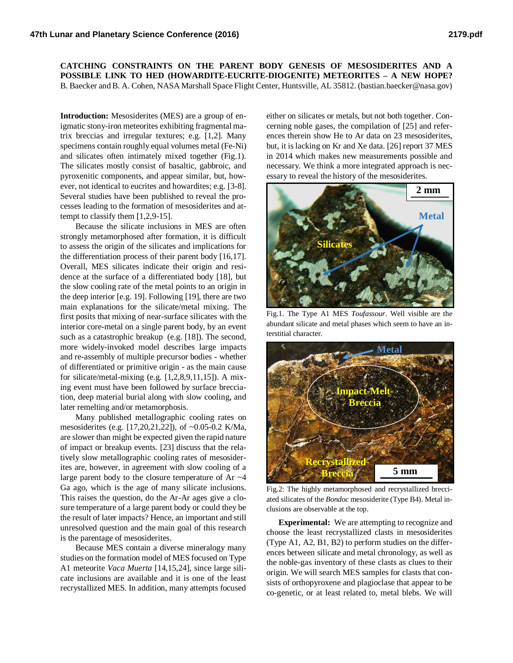## **CATCHING CONSTRAINTS ON THE PARENT BODY GENESIS OF MESOSIDERITES AND A POSSIBLE LINK TO HED (HOWARDITE-EUCRITE-DIOGENITE) METEORITES – A NEW HOPE?** B. Baecker and B. A. Cohen, NASA Marshall Space Flight Center, Huntsville, AL 35812. (bastian.baecker@nasa.gov)

**Introduction:** Mesosiderites (MES) are a group of enigmatic stony-iron meteorites exhibiting fragmental matrix breccias and irregular textures; e.g. [1,2]. Many specimens contain roughly equal volumes metal (Fe-Ni) and silicates often intimately mixed together (Fig.1). The silicates mostly consist of basaltic, gabbroic, and pyroxenitic components, and appear similar, but, however, not identical to eucrites and howardites; e.g. [3-8]. Several studies have been published to reveal the processes leading to the formation of mesosiderites and attempt to classify them [1,2,9-15].

Because the silicate inclusions in MES are often strongly metamorphosed after formation, it is difficult to assess the origin of the silicates and implications for the differentiation process of their parent body [16,17]. Overall, MES silicates indicate their origin and residence at the surface of a differentiated body [18], but the slow cooling rate of the metal points to an origin in the deep interior [e.g. 19]. Following [19], there are two main explanations for the silicate/metal mixing. The first posits that mixing of near-surface silicates with the interior core-metal on a single parent body, by an event such as a catastrophic breakup (e.g. [18]). The second, more widely-invoked model describes large impacts and re-assembly of multiple precursor bodies - whether of differentiated or primitive origin - as the main cause for silicate/metal-mixing (e.g. [1,2,8,9,11,15]). A mixing event must have been followed by surface brecciation, deep material burial along with slow cooling, and later remelting and/or metamorphosis.

Many published metallographic cooling rates on mesosiderites (e.g. [17,20,21,22]), of ~0.05-0.2 K/Ma, are slower than might be expected given the rapid nature of impact or breakup events. [23] discuss that the relatively slow metallographic cooling rates of mesosiderites are, however, in agreement with slow cooling of a large parent body to the closure temperature of Ar  $\sim$ 4 Ga ago, which is the age of many silicate inclusions. This raises the question, do the Ar-Ar ages give a closure temperature of a large parent body or could they be the result of later impacts? Hence, an important and still unresolved question and the main goal of this research is the parentage of mesosiderites.

Because MES contain a diverse mineralogy many studies on the formation model of MES focused on Type A1 meteorite *Vaca Muerta* [14,15,24], since large silicate inclusions are available and it is one of the least recrystallized MES. In addition, many attempts focused

either on silicates or metals, but not both together. Concerning noble gases, the compilation of [25] and references therein show He to Ar data on 23 mesosiderites, but, it is lacking on Kr and Xe data. [26] report 37 MES in 2014 which makes new measurements possible and necessary. We think a more integrated approach is necessary to reveal the history of the mesosiderites.



Fig.1. The Type A1 MES *Toufassour*. Well visible are the abundant silicate and metal phases which seem to have an interstitial character.



Fig.2: The highly metamorphosed and recrystallized brecciated silicates of the *Bondoc* mesosiderite (Type B4). Metal inclusions are observable at the top.

**Experimental:** We are attempting to recognize and choose the least recrystallized clasts in mesosiderites (Type A1, A2, B1, B2) to perform studies on the differences between silicate and metal chronology, as well as the noble-gas inventory of these clasts as clues to their origin. We will search MES samples for clasts that consists of orthopyroxene and plagioclase that appear to be co-genetic, or at least related to, metal blebs. We will